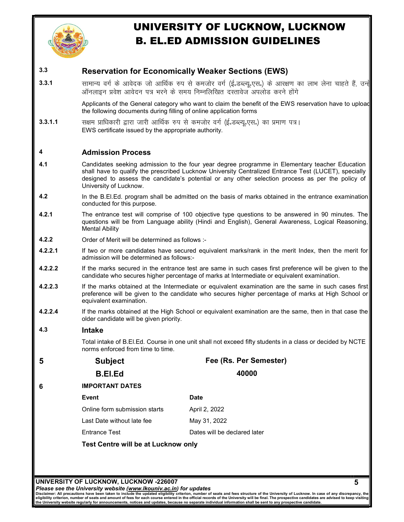

# 3.3 Reservation for Economically Weaker Sections (EWS)

3.3.1 सामान्य वर्ग के आवेदक जो आर्थिक रुप से कमजोर वर्ग (ई.डब्ल्यू.एस.) के आरक्षण का लाभ लेना चाहते हैं, उन्है ऑनलाइन प्रवेश आवेदन पत्र भरने के समय निम्नलिखित दस्तावेज अपलोड करने होंगे

> Applicants of the General category who want to claim the benefit of the EWS reservation have to upload the following documents during filling of online application forms

3.3.1.1 सक्षम प्राधिकारी द्वारा जारी आर्थिक रुप से कमजोर वर्ग (ई.डब्ल्यु.एस.) का प्रमाण पत्र। EWS certificate issued by the appropriate authority.

# 4 Admission Process

- 4.1 Candidates seeking admission to the four year degree programme in Elementary teacher Education shall have to qualify the prescribed Lucknow University Centralized Entrance Test (LUCET), specially designed to assess the candidate's potential or any other selection process as per the policy of University of Lucknow.
- 4.2 In the B.El.Ed. program shall be admitted on the basis of marks obtained in the entrance examination conducted for this purpose.
- 4.2.1 The entrance test will comprise of 100 objective type questions to be answered in 90 minutes. The questions will be from Language ability (Hindi and English), General Awareness, Logical Reasoning, Mental Ability
- 4.2.2 Order of Merit will be determined as follows :-
- 4.2.2.1 If two or more candidates have secured equivalent marks/rank in the merit Index, then the merit for admission will be determined as follows:-
- 4.2.2.2 If the marks secured in the entrance test are same in such cases first preference will be given to the candidate who secures higher percentage of marks at Intermediate or equivalent examination.
- 4.2.2.3 If the marks obtained at the Intermediate or equivalent examination are the same in such cases first preference will be given to the candidate who secures higher percentage of marks at High School or equivalent examination.
- 4.2.2.4 If the marks obtained at the High School or equivalent examination are the same, then in that case the older candidate will be given priority.

# 4.3 Intake

Total intake of B.El.Ed. Course in one unit shall not exceed fifty students in a class or decided by NCTE norms enforced from time to time.

5 Subject Fee (Rs. Per Semester) B.El.Ed 40000 6 IMPORTANT DATES Event Online form submission starts Last Date without late fee Entrance Test **Date** April 2, 2022 June 20, 2022 Dates will be declared later Test Centre will be at Lucknow only

UNIVERSITY OF LUCKNOW, LUCKNOW -226007

Please see the University website (www.lkouniv.ac.in) for updates

Disclaimer: All precautions have been taken to include the updated eligibility criterion, number of seats and fees structure of the University of Lucknow. In case of any discrepancy, the<br>eligibility criterion, number of se the University website regularly for announcements, notices and updates, because no separate individual information shall be sent to any prospective candidate.

5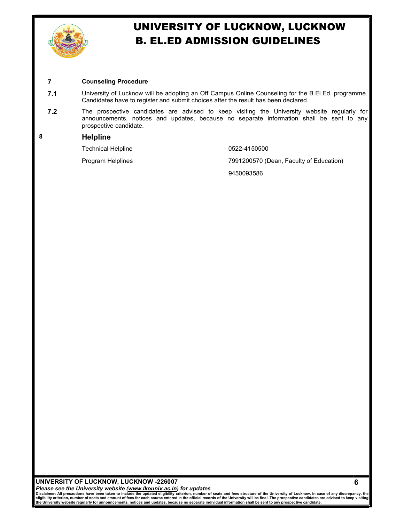

# 7 Counseling Procedure

- 7.1 University of Lucknow will be adopting an Off Campus Online Counseling for the B.El.Ed. programme. Candidates have to register and submit choices after the result has been declared.
- **7.2** The prospective candidates are advised to keep visiting the University website regularly for announcements, notices and updates, because no separate information shall be sent to any prospective candidate.

# 8 Helpline

Technical Helpline 0522-4150500

Program Helplines **7991200570** (Dean, Faculty of Education)

9450093586

# UNIVERSITY OF LUCKNOW, LUCKNOW -226007

Please see the University website (www.lkouniv.ac.in) for updates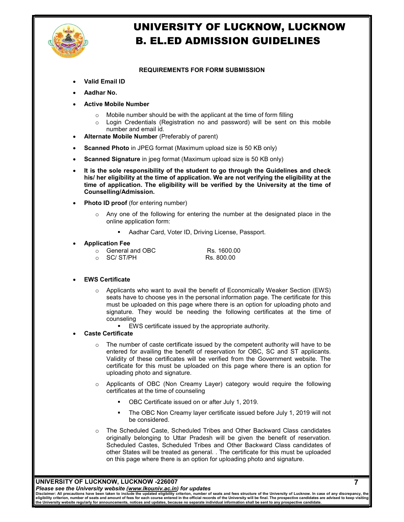

# REQUIREMENTS FOR FORM SUBMISSION

- Valid Email ID
- Aadhar No.
- Active Mobile Number
	- $\circ$  Mobile number should be with the applicant at the time of form filling
	- o Login Credentials (Registration no and password) will be sent on this mobile number and email id.
- Alternate Mobile Number (Preferably of parent)
- Scanned Photo in JPEG format (Maximum upload size is 50 KB only)
- Scanned Signature in jpeg format (Maximum upload size is 50 KB only)
- It is the sole responsibility of the student to go through the Guidelines and check his/ her eligibility at the time of application. We are not verifying the eligibility at the time of application. The eligibility will be verified by the University at the time of Counselling/Admission.
- Photo ID proof (for entering number)
	- $\circ$  Any one of the following for entering the number at the designated place in the online application form:
		- **Aadhar Card, Voter ID, Driving License, Passport.**

#### Application Fee

 $\circ$  General and OBC Rs. 1600.00<br> $\circ$  SC/ ST/PH Rs. 800.00 o SC/ ST/PH

# EWS Certificate

- $\circ$  Applicants who want to avail the benefit of Economically Weaker Section (EWS) seats have to choose yes in the personal information page. The certificate for this must be uploaded on this page where there is an option for uploading photo and signature. They would be needing the following certificates at the time of counseling
	- EWS certificate issued by the appropriate authority.

# Caste Certificate

- $\circ$  The number of caste certificate issued by the competent authority will have to be entered for availing the benefit of reservation for OBC, SC and ST applicants. Validity of these certificates will be verified from the Government website. The certificate for this must be uploaded on this page where there is an option for uploading photo and signature.
- o Applicants of OBC (Non Creamy Layer) category would require the following certificates at the time of counseling
	- OBC Certificate issued on or after July 1, 2019.
	- The OBC Non Creamy layer certificate issued before July 1, 2019 will not be considered.

7

o The Scheduled Caste, Scheduled Tribes and Other Backward Class candidates originally belonging to Uttar Pradesh will be given the benefit of reservation. Scheduled Castes, Scheduled Tribes and Other Backward Class candidates of other States will be treated as general. . The certificate for this must be uploaded on this page where there is an option for uploading photo and signature.

# UNIVERSITY OF LUCKNOW, LUCKNOW -226007

Please see the University website (www.lkouniv.ac.in) for updates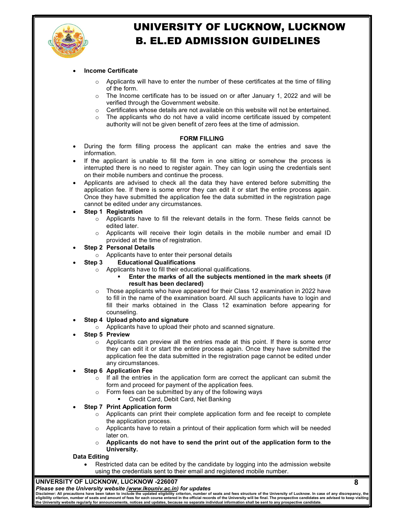

# Income Certificate

- $\circ$  Applicants will have to enter the number of these certificates at the time of filling of the form.
- $\circ$  The Income certificate has to be issued on or after January 1, 2022 and will be verified through the Government website.
- $\circ$  Certificates whose details are not available on this website will not be entertained.<br>  $\circ$  The applicants who do not have a valid income certificate issued by competent
- The applicants who do not have a valid income certificate issued by competent authority will not be given benefit of zero fees at the time of admission.

#### FORM FILLING

- During the form filling process the applicant can make the entries and save the information.
- If the applicant is unable to fill the form in one sitting or somehow the process is interrupted there is no need to register again. They can login using the credentials sent on their mobile numbers and continue the process.
- Applicants are advised to check all the data they have entered before submitting the application fee. If there is some error they can edit it or start the entire process again. Once they have submitted the application fee the data submitted in the registration page cannot be edited under any circumstances.

# Step 1 Registration

- $\circ$  Applicants have to fill the relevant details in the form. These fields cannot be edited later.
- $\circ$  Applicants will receive their login details in the mobile number and email ID provided at the time of registration.

#### Step 2 Personal Details

o Applicants have to enter their personal details

# Step 3 Educational Qualifications

- o Applicants have to fill their educational qualifications.
	- Enter the marks of all the subjects mentioned in the mark sheets (if result has been declared)
- $\circ$  Those applicants who have appeared for their Class 12 examination in 2022 have to fill in the name of the examination board. All such applicants have to login and fill their marks obtained in the Class 12 examination before appearing for counseling.

# Step 4 Upload photo and signature

o Applicants have to upload their photo and scanned signature.

# Step 5 Preview

 $\circ$  Applicants can preview all the entries made at this point. If there is some error they can edit it or start the entire process again. Once they have submitted the application fee the data submitted in the registration page cannot be edited under any circumstances.

# Step 6 Application Fee

- $\circ$  If all the entries in the application form are correct the applicant can submit the form and proceed for payment of the application fees.
- o Form fees can be submitted by any of the following ways
	- **Credit Card, Debit Card, Net Banking**

# Step 7 Print Application form

- $\circ$  Applicants can print their complete application form and fee receipt to complete the application process.
- $\circ$  Applicants have to retain a printout of their application form which will be needed later on.
- o Applicants do not have to send the print out of the application form to the University.

# Data Editing

 Restricted data can be edited by the candidate by logging into the admission website using the credentials sent to their email and registered mobile number.

### UNIVERSITY OF LUCKNOW, LUCKNOW -226007